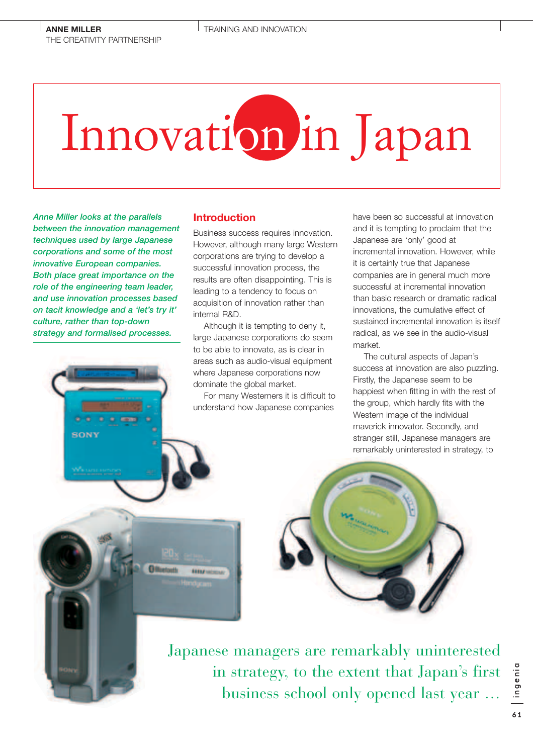# Innovation in Japan

*Anne Miller looks at the parallels between the innovation management techniques used by large Japanese corporations and some of the most innovative European companies. Both place great importance on the role of the engineering team leader, and use innovation processes based on tacit knowledge and a 'let's try it' culture, rather than top-down strategy and formalised processes.*

## **Introduction**

**SERVICE** 

Business success requires innovation. However, although many large Western corporations are trying to develop a successful innovation process, the results are often disappointing. This is leading to a tendency to focus on acquisition of innovation rather than internal R&D.

Although it is tempting to deny it, large Japanese corporations do seem to be able to innovate, as is clear in areas such as audio-visual equipment where Japanese corporations now dominate the global market.

For many Westerners it is difficult to understand how Japanese companies

have been so successful at innovation and it is tempting to proclaim that the Japanese are 'only' good at incremental innovation. However, while it is certainly true that Japanese companies are in general much more successful at incremental innovation than basic research or dramatic radical innovations, the cumulative effect of sustained incremental innovation is itself radical, as we see in the audio-visual market.

The cultural aspects of Japan's success at innovation are also puzzling. Firstly, the Japanese seem to be happiest when fitting in with the rest of the group, which hardly fits with the Western image of the individual maverick innovator. Secondly, and stranger still, Japanese managers are remarkably uninterested in strategy, to



Japanese managers are remarkably uninterested in strategy, to the extent that Japan's first business school only opened last year …

ingenia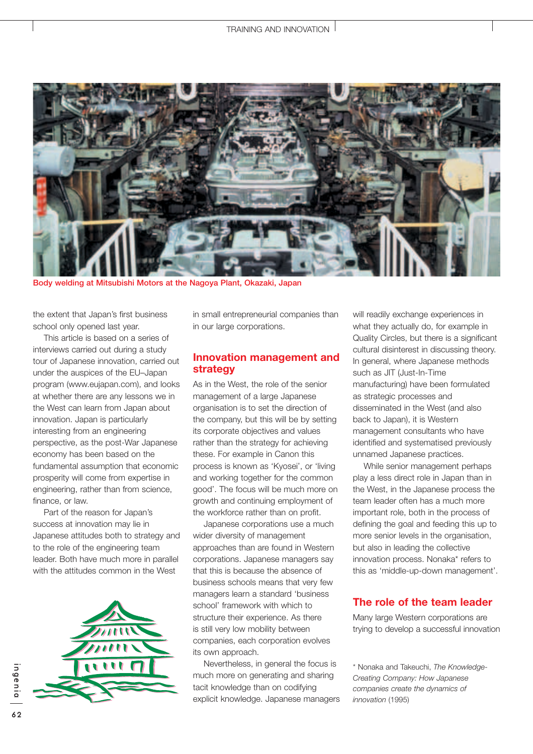

**Body welding at Mitsubishi Motors at the Nagoya Plant, Okazaki, Japan**

the extent that Japan's first business school only opened last year.

This article is based on a series of interviews carried out during a study tour of Japanese innovation, carried out under the auspices of the EU–Japan program (www.eujapan.com), and looks at whether there are any lessons we in the West can learn from Japan about innovation. Japan is particularly interesting from an engineering perspective, as the post-War Japanese economy has been based on the fundamental assumption that economic prosperity will come from expertise in engineering, rather than from science, finance, or law.

Part of the reason for Japan's success at innovation may lie in Japanese attitudes both to strategy and to the role of the engineering team leader. Both have much more in parallel with the attitudes common in the West



in small entrepreneurial companies than in our large corporations.

#### **Innovation management and strategy**

As in the West, the role of the senior management of a large Japanese organisation is to set the direction of the company, but this will be by setting its corporate objectives and values rather than the strategy for achieving these. For example in Canon this process is known as 'Kyosei', or 'living and working together for the common good'. The focus will be much more on growth and continuing employment of the workforce rather than on profit.

Japanese corporations use a much wider diversity of management approaches than are found in Western corporations. Japanese managers say that this is because the absence of business schools means that very few managers learn a standard 'business school' framework with which to structure their experience. As there is still very low mobility between companies, each corporation evolves its own approach.

Nevertheless, in general the focus is much more on generating and sharing tacit knowledge than on codifying explicit knowledge. Japanese managers will readily exchange experiences in what they actually do, for example in Quality Circles, but there is a significant cultural disinterest in discussing theory. In general, where Japanese methods such as JIT (Just-In-Time manufacturing) have been formulated as strategic processes and disseminated in the West (and also back to Japan), it is Western management consultants who have identified and systematised previously unnamed Japanese practices.

While senior management perhaps play a less direct role in Japan than in the West, in the Japanese process the team leader often has a much more important role, both in the process of defining the goal and feeding this up to more senior levels in the organisation, but also in leading the collective innovation process. Nonaka\* refers to this as 'middle-up-down management'.

## **The role of the team leader**

Many large Western corporations are trying to develop a successful innovation

\* Nonaka and Takeuchi, *The Knowledge-Creating Company: How Japanese companies create the dynamics of innovation* (1995)

ingenia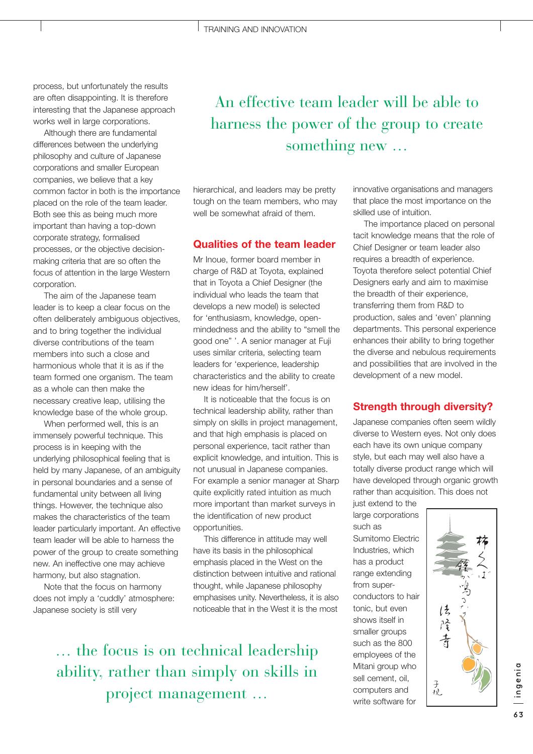process, but unfortunately the results are often disappointing. It is therefore interesting that the Japanese approach works well in large corporations.

Although there are fundamental differences between the underlying philosophy and culture of Japanese corporations and smaller European companies, we believe that a key common factor in both is the importance placed on the role of the team leader. Both see this as being much more important than having a top-down corporate strategy, formalised processes, or the objective decisionmaking criteria that are so often the focus of attention in the large Western corporation.

The aim of the Japanese team leader is to keep a clear focus on the often deliberately ambiguous objectives, and to bring together the individual diverse contributions of the team members into such a close and harmonious whole that it is as if the team formed one organism. The team as a whole can then make the necessary creative leap, utilising the knowledge base of the whole group.

When performed well, this is an immensely powerful technique. This process is in keeping with the underlying philosophical feeling that is held by many Japanese, of an ambiguity in personal boundaries and a sense of fundamental unity between all living things. However, the technique also makes the characteristics of the team leader particularly important. An effective team leader will be able to harness the power of the group to create something new. An ineffective one may achieve harmony, but also stagnation.

Note that the focus on harmony does not imply a 'cuddly' atmosphere: Japanese society is still very

# An effective team leader will be able to harness the power of the group to create something new …

hierarchical, and leaders may be pretty tough on the team members, who may well be somewhat afraid of them.

#### **Qualities of the team leader**

Mr Inoue, former board member in charge of R&D at Toyota, explained that in Toyota a Chief Designer (the individual who leads the team that develops a new model) is selected for 'enthusiasm, knowledge, openmindedness and the ability to "smell the good one" '. A senior manager at Fuji uses similar criteria, selecting team leaders for 'experience, leadership characteristics and the ability to create new ideas for him/herself'.

It is noticeable that the focus is on technical leadership ability, rather than simply on skills in project management, and that high emphasis is placed on personal experience, tacit rather than explicit knowledge, and intuition. This is not unusual in Japanese companies. For example a senior manager at Sharp quite explicitly rated intuition as much more important than market surveys in the identification of new product opportunities.

This difference in attitude may well have its basis in the philosophical emphasis placed in the West on the distinction between intuitive and rational thought, while Japanese philosophy emphasises unity. Nevertheless, it is also noticeable that in the West it is the most

… the focus is on technical leadership ability, rather than simply on skills in project management …

innovative organisations and managers that place the most importance on the skilled use of intuition.

The importance placed on personal tacit knowledge means that the role of Chief Designer or team leader also requires a breadth of experience. Toyota therefore select potential Chief Designers early and aim to maximise the breadth of their experience, transferring them from R&D to production, sales and 'even' planning departments. This personal experience enhances their ability to bring together the diverse and nebulous requirements and possibilities that are involved in the development of a new model.

### **Strength through diversity?**

Japanese companies often seem wildly diverse to Western eyes. Not only does each have its own unique company style, but each may well also have a totally diverse product range which will have developed through organic growth rather than acquisition. This does not

just extend to the large corporations such as Sumitomo Electric Industries, which has a product range extending from superconductors to hair tonic, but even shows itself in smaller groups such as the 800 employees of the Mitani group who sell cement, oil, computers and write software for



ingenia